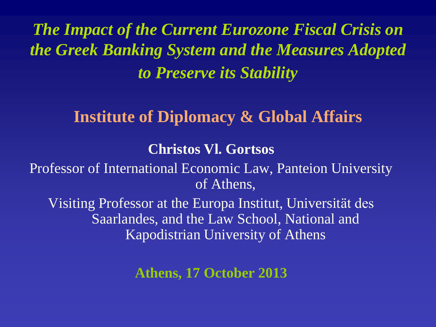*The Impact of the Current Eurozone Fiscal Crisis on the Greek Banking System and the Measures Adopted to Preserve its Stability*

# **Institute of Diplomacy & Global Affairs**

### **Christos Vl. Gortsos**

Professor of International Economic Law, Panteion University of Athens,

Visiting Professor at the Europa Institut, Universität des Saarlandes, and the Law School, National and Kapodistrian University of Athens

**Athens, 17 October 2013**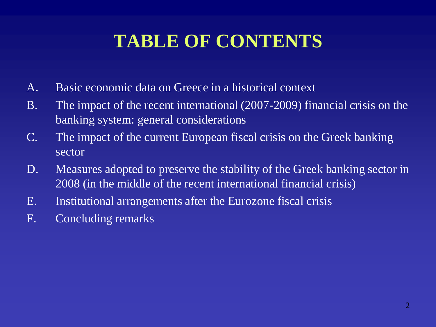# **TABLE OF CONTENTS**

- A. Basic economic data on Greece in a historical context
- B. The impact of the recent international (2007-2009) financial crisis on the banking system: general considerations
- C. The impact of the current European fiscal crisis on the Greek banking sector
- D. Measures adopted to preserve the stability of the Greek banking sector in 2008 (in the middle of the recent international financial crisis)
- E. Institutional arrangements after the Eurozone fiscal crisis
- F. Concluding remarks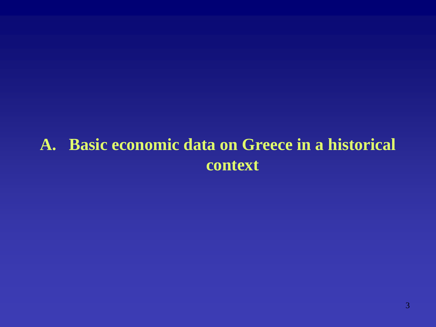# **A. Basic economic data on Greece in a historical context**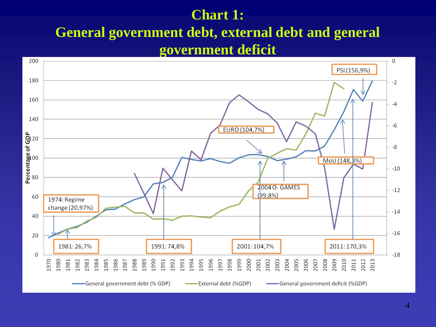### **Chart 1:**

### **General government debt, external debt and general government deficit**

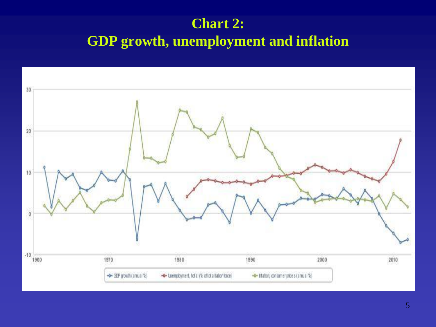### **Chart 2: GDP growth, unemployment and inflation**

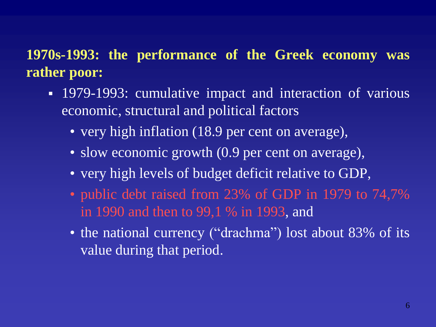### **1970s-1993: the performance of the Greek economy was rather poor:**

- 1979-1993: cumulative impact and interaction of various economic, structural and political factors
	- very high inflation (18.9 per cent on average),
	- slow economic growth (0.9 per cent on average),
	- very high levels of budget deficit relative to GDP,
	- public debt raised from 23% of GDP in 1979 to 74,7% in 1990 and then to 99,1 % in 1993, and
	- the national currency ("drachma") lost about 83% of its value during that period.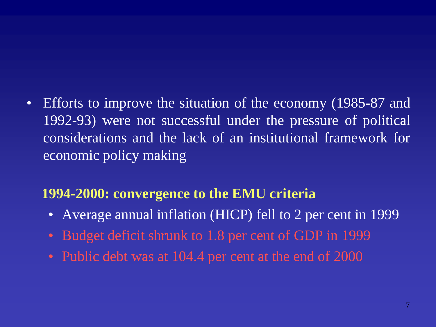• Efforts to improve the situation of the economy (1985-87 and 1992-93) were not successful under the pressure of political considerations and the lack of an institutional framework for economic policy making

### **1994-2000: convergence to the EMU criteria**

- Average annual inflation (HICP) fell to 2 per cent in 1999
- Budget deficit shrunk to 1.8 per cent of GDP in 1999
- Public debt was at 104.4 per cent at the end of 2000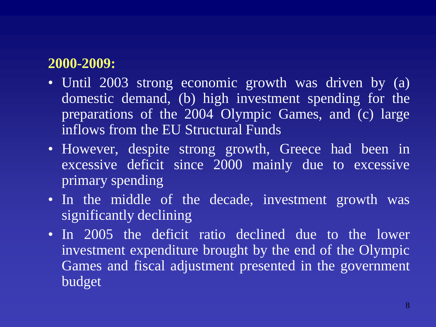### **2000-2009:**

- Until 2003 strong economic growth was driven by (a) domestic demand, (b) high investment spending for the preparations of the 2004 Olympic Games, and (c) large inflows from the EU Structural Funds
- However, despite strong growth, Greece had been in excessive deficit since 2000 mainly due to excessive primary spending
- In the middle of the decade, investment growth was significantly declining
- In 2005 the deficit ratio declined due to the lower investment expenditure brought by the end of the Olympic Games and fiscal adjustment presented in the government budget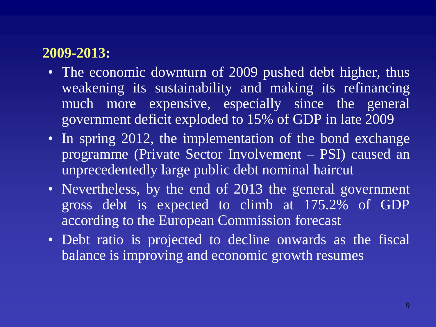### **2009-2013:**

- The economic downturn of 2009 pushed debt higher, thus weakening its sustainability and making its refinancing much more expensive, especially since the general government deficit exploded to 15% of GDP in late 2009
- In spring 2012, the implementation of the bond exchange programme (Private Sector Involvement – PSI) caused an unprecedentedly large public debt nominal haircut
- Nevertheless, by the end of 2013 the general government gross debt is expected to climb at 175.2% of GDP according to the European Commission forecast
- Debt ratio is projected to decline onwards as the fiscal balance is improving and economic growth resumes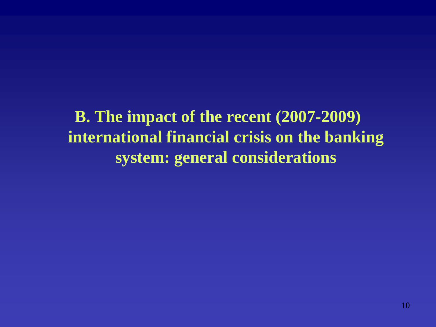**B. The impact of the recent (2007-2009) international financial crisis on the banking system: general considerations**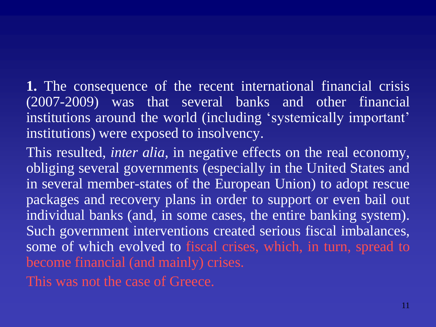- **1.** The consequence of the recent international financial crisis (2007-2009) was that several banks and other financial institutions around the world (including 'systemically important' institutions) were exposed to insolvency.
- This resulted, *inter alia*, in negative effects on the real economy, obliging several governments (especially in the United States and in several member-states of the European Union) to adopt rescue packages and recovery plans in order to support or even bail out individual banks (and, in some cases, the entire banking system). Such government interventions created serious fiscal imbalances, some of which evolved to fiscal crises, which, in turn, spread to become financial (and mainly) crises.
- This was not the case of Greece.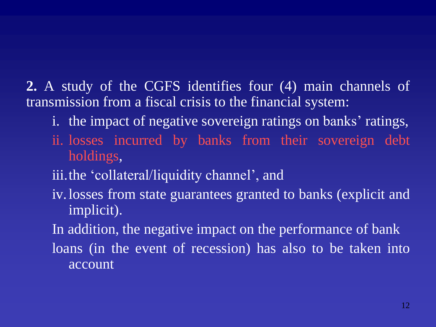**2.** A study of the CGFS identifies four (4) main channels of transmission from a fiscal crisis to the financial system:

- i. the impact of negative sovereign ratings on banks' ratings,
- ii. losses incurred by banks from their sovereign debt holdings,
- iii.the 'collateral/liquidity channel', and
- iv.losses from state guarantees granted to banks (explicit and implicit).
- In addition, the negative impact on the performance of bank loans (in the event of recession) has also to be taken into account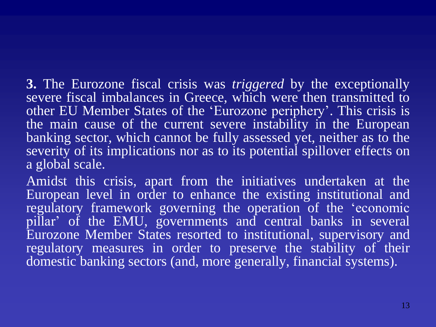**3.** The Eurozone fiscal crisis was *triggered* by the exceptionally severe fiscal imbalances in Greece, which were then transmitted to other EU Member States of the 'Eurozone periphery'. This crisis is the main cause of the current severe instability in the European banking sector, which cannot be fully assessed yet, neither as to the severity of its implications nor as to its potential spillover effects on a global scale.

Amidst this crisis, apart from the initiatives undertaken at the European level in order to enhance the existing institutional and regulatory framework governing the operation of the 'economic pillar' of the EMU, governments and central banks in several Eurozone Member States resorted to institutional, supervisory and regulatory measures in order to preserve the stability of their domestic banking sectors (and, more generally, financial systems).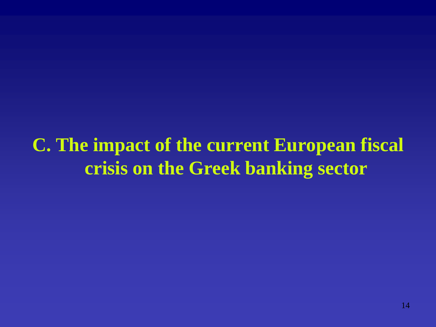**C. The impact of the current European fiscal crisis on the Greek banking sector**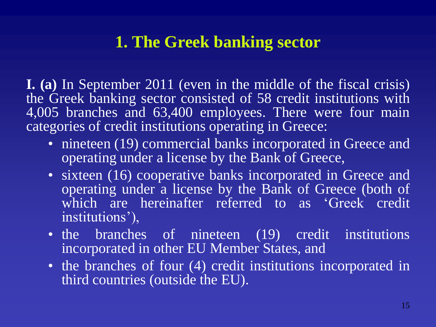# **1. The Greek banking sector**

**I. (a)** In September 2011 (even in the middle of the fiscal crisis) the Greek banking sector consisted of 58 credit institutions with 4,005 branches and 63,400 employees. There were four main categories of credit institutions operating in Greece:

- nineteen (19) commercial banks incorporated in Greece and operating under a license by the Bank of Greece,
- sixteen (16) cooperative banks incorporated in Greece and operating under a license by the Bank of Greece (both of which are hereinafter referred to as 'Greek credit institutions'),
- the branches of nineteen (19) credit institutions incorporated in other EU Member States, and
- the branches of four (4) credit institutions incorporated in third countries (outside the EU).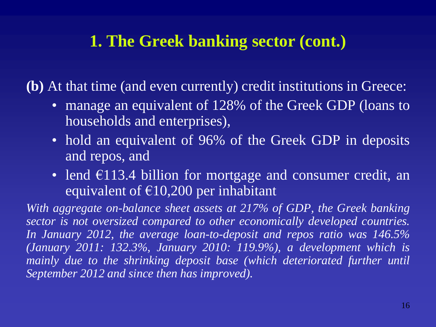# **1. The Greek banking sector (cont.)**

**(b)** At that time (and even currently) credit institutions in Greece:

- manage an equivalent of 128% of the Greek GDP (loans to households and enterprises),
- hold an equivalent of 96% of the Greek GDP in deposits and repos, and
- lend  $\overline{\epsilon}$ 113.4 billion for mortgage and consumer credit, an equivalent of  $\epsilon$ 10,200 per inhabitant

*With aggregate on-balance sheet assets at 217% of GDP, the Greek banking sector is not oversized compared to other economically developed countries. In January 2012, the average loan-to-deposit and repos ratio was 146.5% (January 2011: 132.3%, January 2010: 119.9%), a development which is mainly due to the shrinking deposit base (which deteriorated further until September 2012 and since then has improved).*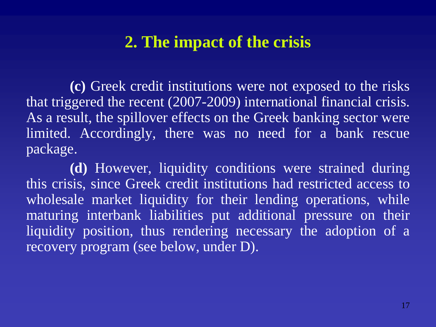# **2. The impact of the crisis**

**(c)** Greek credit institutions were not exposed to the risks that triggered the recent (2007-2009) international financial crisis. As a result, the spillover effects on the Greek banking sector were limited. Accordingly, there was no need for a bank rescue package.

**(d)** However, liquidity conditions were strained during this crisis, since Greek credit institutions had restricted access to wholesale market liquidity for their lending operations, while maturing interbank liabilities put additional pressure on their liquidity position, thus rendering necessary the adoption of a recovery program (see below, under D).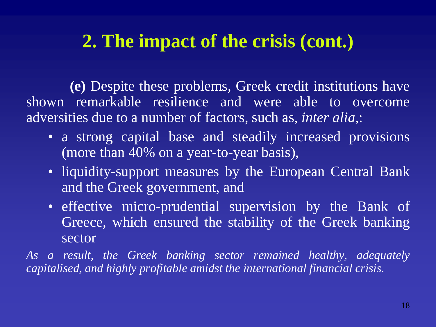# **2. The impact of the crisis (cont.)**

**(e)** Despite these problems, Greek credit institutions have shown remarkable resilience and were able to overcome adversities due to a number of factors, such as, *inter alia*,:

- a strong capital base and steadily increased provisions (more than 40% on a year-to-year basis),
- liquidity-support measures by the European Central Bank and the Greek government, and
- effective micro-prudential supervision by the Bank of Greece, which ensured the stability of the Greek banking sector

*As a result, the Greek banking sector remained healthy, adequately capitalised, and highly profitable amidst the international financial crisis.*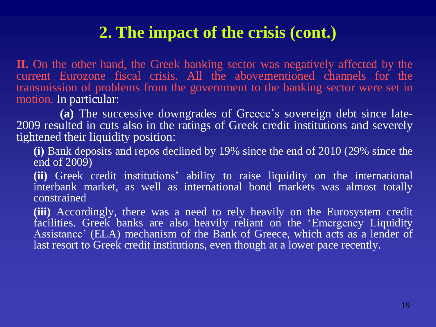# **2. The impact of the crisis (cont.)**

**II.** On the other hand, the Greek banking sector was negatively affected by the current Eurozone fiscal crisis. All the abovementioned channels for the transmission of problems from the government to the banking sector were set in motion. In particular:

**(a)** The successive downgrades of Greece's sovereign debt since late-2009 resulted in cuts also in the ratings of Greek credit institutions and severely tightened their liquidity position:

**(i)** Bank deposits and repos declined by 19% since the end of 2010 (29% since the end of  $2009$ 

**(ii)** Greek credit institutions' ability to raise liquidity on the international interbank market, as well as international bond markets was almost totally constrained

**(iii)** Accordingly, there was a need to rely heavily on the Eurosystem credit facilities. Greek banks are also heavily reliant on the 'Emergency Liquidity Assistance' (ELA) mechanism of the Bank of Greece, which acts as a lender of last resort to Greek credit institutions, even though at a lower pace recently.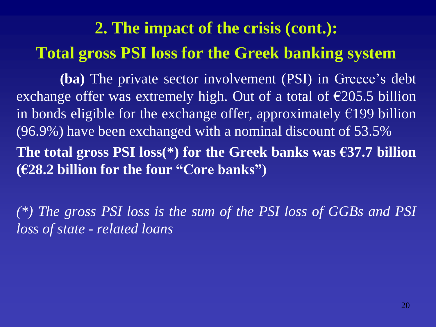# **2. The impact of the crisis (cont.): Total gross PSI loss for the Greek banking system**

**(ba)** The private sector involvement (PSI) in Greece's debt exchange offer was extremely high. Out of a total of €205.5 billion in bonds eligible for the exchange offer, approximately  $\epsilon$ 199 billion (96.9%) have been exchanged with a nominal discount of 53.5% **The total gross PSI loss(\*) for the Greek banks was €37.7 billion (€28.2 billion for the four "Core banks")**

*(\*) The gross PSI loss is the sum of the PSI loss of GGBs and PSI loss of state - related loans*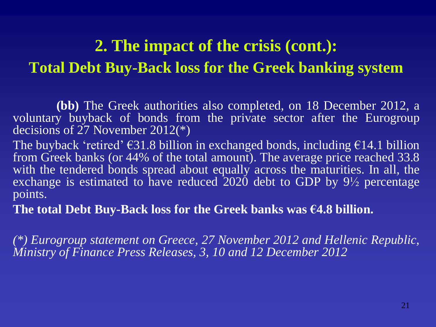# **2. The impact of the crisis (cont.): Total Debt Buy-Back loss for the Greek banking system**

**(bb)** The Greek authorities also completed, on 18 December 2012, a voluntary buyback of bonds from the private sector after the Eurogroup decisions of 27 November 2012(\*)

The buyback 'retired'  $\epsilon$ 31.8 billion in exchanged bonds, including  $\epsilon$ 14.1 billion from Greek banks (or 44% of the total amount). The average price reached 33.8 with the tendered bonds spread about equally across the maturities. In all, the exchange is estimated to have reduced  $2020$  debt to GDP by  $9\frac{1}{2}$  percentage points.

**The total Debt Buy-Back loss for the Greek banks was €4.8 billion.**

*(\*) Eurogroup statement on Greece, 27 November 2012 and Hellenic Republic, Ministry of Finance Press Releases, 3, 10 and 12 December 2012*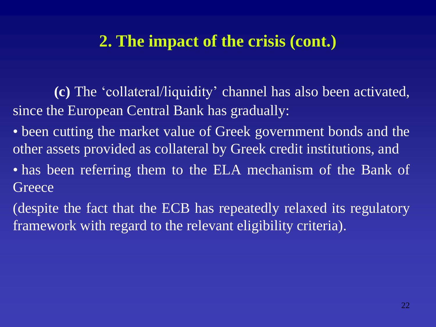# **2. The impact of the crisis (cont.)**

 **(c)** The 'collateral/liquidity' channel has also been activated, since the European Central Bank has gradually:

- been cutting the market value of Greek government bonds and the other assets provided as collateral by Greek credit institutions, and
- has been referring them to the ELA mechanism of the Bank of **Greece**
- (despite the fact that the ECB has repeatedly relaxed its regulatory framework with regard to the relevant eligibility criteria).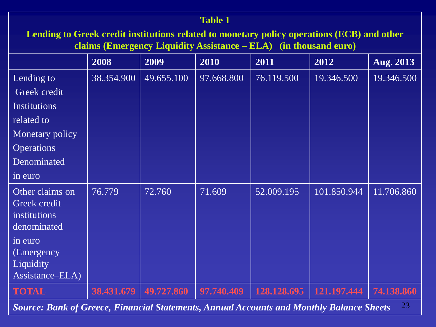#### **Table 1**

**Lending to Greek credit institutions related to monetary policy operations (ECB) and other claims (Emergency Liquidity Assistance – ELA) (in thousand euro)**

|                                                                                                       | 2008       | 2009       | 2010       | 2011        | 2012        | <b>Aug. 2013</b> |
|-------------------------------------------------------------------------------------------------------|------------|------------|------------|-------------|-------------|------------------|
| Lending to                                                                                            | 38.354.900 | 49.655.100 | 97.668.800 | 76.119.500  | 19.346.500  | 19.346.500       |
| Greek credit                                                                                          |            |            |            |             |             |                  |
| <b>Institutions</b>                                                                                   |            |            |            |             |             |                  |
| related to                                                                                            |            |            |            |             |             |                  |
| Monetary policy                                                                                       |            |            |            |             |             |                  |
| <b>Operations</b>                                                                                     |            |            |            |             |             |                  |
| Denominated                                                                                           |            |            |            |             |             |                  |
| in euro                                                                                               |            |            |            |             |             |                  |
| Other claims on<br>Greek credit<br><i>institutions</i><br>denominated                                 | 76.779     | 72.760     | 71.609     | 52.009.195  | 101.850.944 | 11.706.860       |
| in euro<br>(Emergency)<br>Liquidity<br>Assistance-ELA)                                                |            |            |            |             |             |                  |
| <b>TOTAL</b>                                                                                          | 38.431.679 | 49.727.860 | 97.740.409 | 128.128.695 | 121.197.444 | 74.138.860       |
| 23<br><b>Source: Bank of Greece, Financial Statements, Annual Accounts and Monthly Balance Sheets</b> |            |            |            |             |             |                  |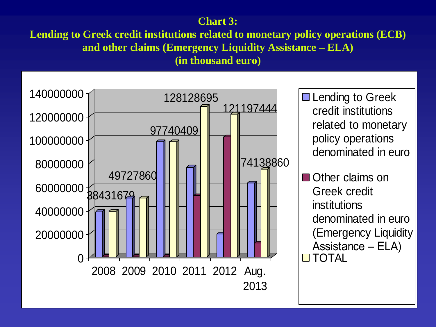### **Chart 3:**

**Lending to Greek credit institutions related to monetary policy operations (ECB) and other claims (Emergency Liquidity Assistance – ELA)**

**(in thousand euro)**

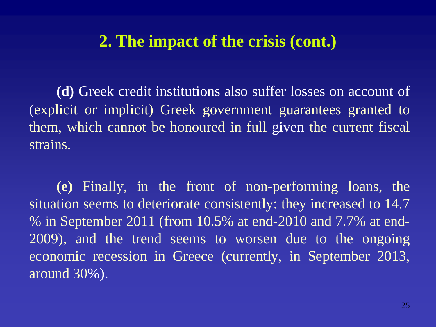### **2. The impact of the crisis (cont.)**

**(d)** Greek credit institutions also suffer losses on account of (explicit or implicit) Greek government guarantees granted to them, which cannot be honoured in full given the current fiscal strains.

 **(e)** Finally, in the front of non-performing loans, the situation seems to deteriorate consistently: they increased to 14.7 % in September 2011 (from 10.5% at end-2010 and 7.7% at end-2009), and the trend seems to worsen due to the ongoing economic recession in Greece (currently, in September 2013, around 30%).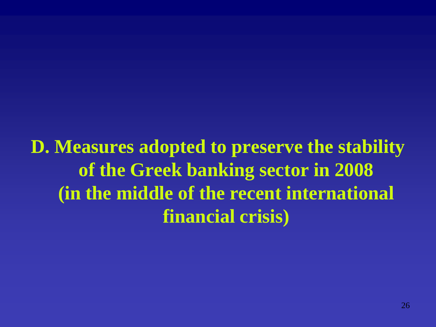**D. Measures adopted to preserve the stability of the Greek banking sector in 2008 (in the middle of the recent international financial crisis)**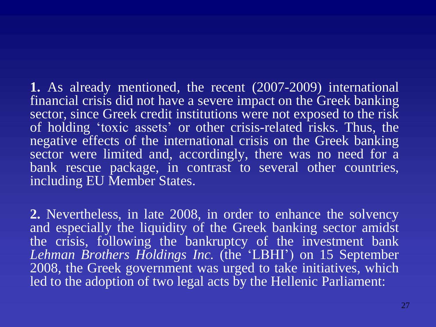**1.** As already mentioned, the recent (2007-2009) international financial crisis did not have a severe impact on the Greek banking sector, since Greek credit institutions were not exposed to the risk of holding 'toxic assets' or other crisis-related risks. Thus, the negative effects of the international crisis on the Greek banking sector were limited and, accordingly, there was no need for a bank rescue package, in contrast to several other countries, including EU Member States.

**2.** Nevertheless, in late 2008, in order to enhance the solvency and especially the liquidity of the Greek banking sector amidst the crisis, following the bankruptcy of the investment bank *Lehman Brothers Holdings Inc.* (the 'LBHI') on 15 September 2008, the Greek government was urged to take initiatives, which led to the adoption of two legal acts by the Hellenic Parliament: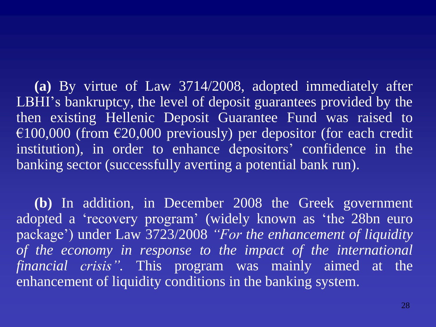**(a)** By virtue of Law 3714/2008, adopted immediately after LBHI's bankruptcy, the level of deposit guarantees provided by the then existing Hellenic Deposit Guarantee Fund was raised to €100,000 (from €20,000 previously) per depositor (for each credit institution), in order to enhance depositors' confidence in the banking sector (successfully averting a potential bank run).

 **(b)** In addition, in December 2008 the Greek government adopted a 'recovery program' (widely known as 'the 28bn euro package') under Law 3723/2008 *"For the enhancement of liquidity of the economy in response to the impact of the international financial crisis".* This program was mainly aimed at the enhancement of liquidity conditions in the banking system.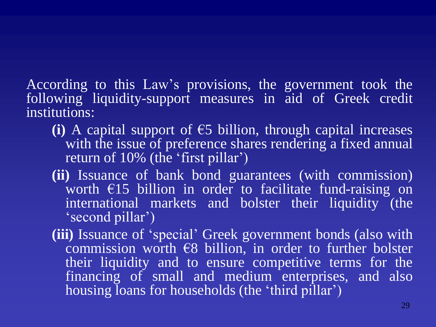According to this Law's provisions, the government took the following liquidity-support measures in aid of Greek credit institutions:

- **(i)** A capital support of €5 billion, through capital increases with the issue of preference shares rendering a fixed annual return of 10% (the 'first pillar')
- **(ii)** Issuance of bank bond guarantees (with commission) worth €15 billion in order to facilitate fund-raising on international markets and bolster their liquidity (the 'second pillar')
- **(iii)** Issuance of 'special' Greek government bonds (also with commission worth  $\epsilon$ 8 billion, in order to further bolster their liquidity and to ensure competitive terms for the financing of small and medium enterprises, and also housing Ioans for households (the 'third pillar')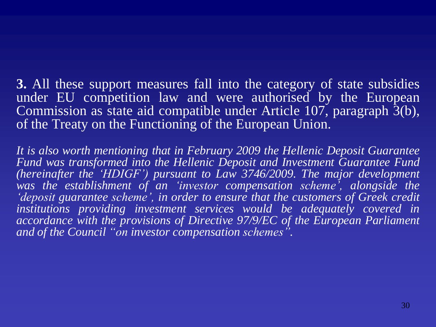**3.** All these support measures fall into the category of state subsidies under EU competition law and were authorised by the European Commission as state aid compatible under Article 107, paragraph 3(b), of the Treaty on the Functioning of the European Union.

*It is also worth mentioning that in February 2009 the Hellenic Deposit Guarantee Fund was transformed into the Hellenic Deposit and Investment Guarantee Fund (hereinafter the 'HDIGF') pursuant to Law 3746/2009. The major development was the establishment of an 'investor compensation scheme', alongside the 'deposit guarantee scheme', in order to ensure that the customers of Greek credit institutions providing investment services would be adequately covered in accordance with the provisions of Directive 97/9/EC of the European Parliament and of the Council "on investor compensation schemes".*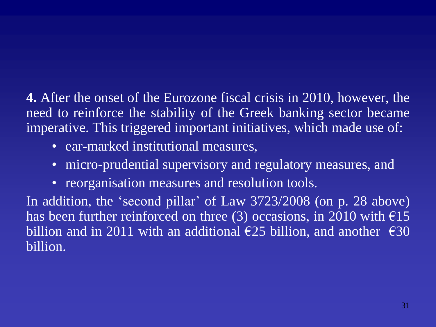**4.** After the onset of the Eurozone fiscal crisis in 2010, however, the need to reinforce the stability of the Greek banking sector became imperative. This triggered important initiatives, which made use of:

- ear-marked institutional measures,
- micro-prudential supervisory and regulatory measures, and
- reorganisation measures and resolution tools.

In addition, the 'second pillar' of Law 3723/2008 (on p. 28 above) has been further reinforced on three (3) occasions, in 2010 with  $\epsilon$ 15 billion and in 2011 with an additional  $\epsilon$ 25 billion, and another  $\epsilon$ 30 billion.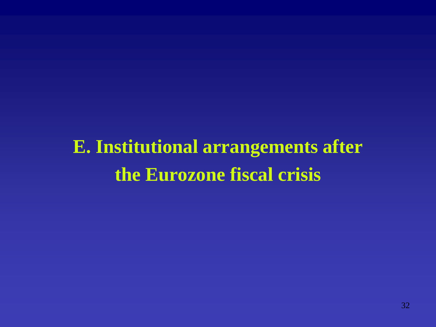**E. Institutional arrangements after the Eurozone fiscal crisis**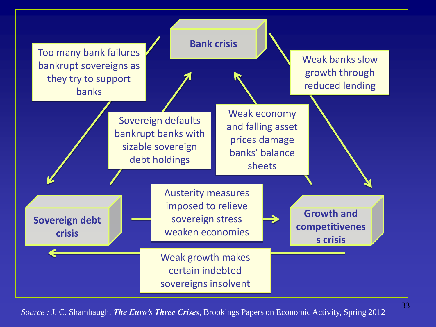

*Source :* J. C. Shambaugh. *The Euro's Three Crises,* Brookings Papers on Economic Activity, Spring 2012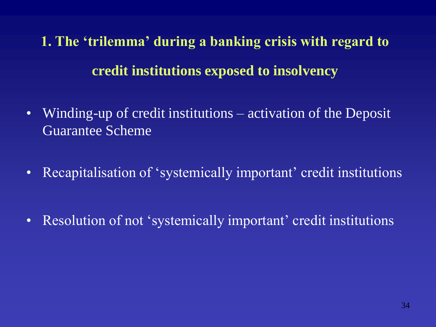**1. The 'trilemma' during a banking crisis with regard to credit institutions exposed to insolvency**

- Winding-up of credit institutions activation of the Deposit Guarantee Scheme
- Recapitalisation of 'systemically important' credit institutions
- Resolution of not 'systemically important' credit institutions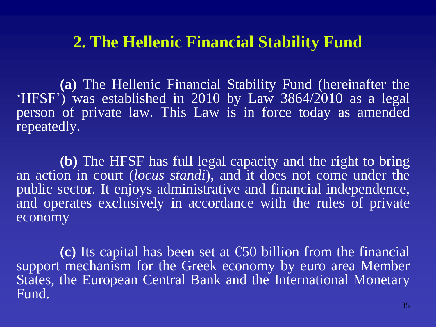**(a)** The Hellenic Financial Stability Fund (hereinafter the 'HFSF') was established in 2010 by Law 3864/2010 as a legal person of private law. This Law is in force today as amended repeatedly.

**(b)** The HFSF has full legal capacity and the right to bring an action in court (*locus standi*), and it does not come under the public sector. It enjoys administrative and financial independence, and operates exclusively in accordance with the rules of private economy

**(c)** Its capital has been set at €50 billion from the financial support mechanism for the Greek economy by euro area Member States, the European Central Bank and the International Monetary Fund.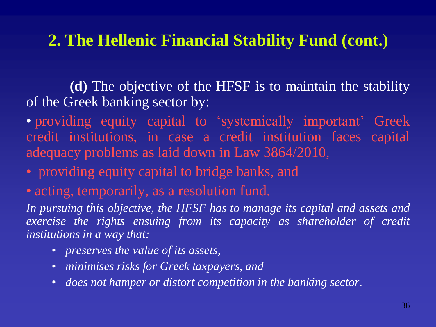**(d)** The objective of the HFSF is to maintain the stability of the Greek banking sector by:

• providing equity capital to 'systemically important' Greek credit institutions, in case a credit institution faces capital adequacy problems as laid down in Law 3864/2010,

- providing equity capital to bridge banks, and
- acting, temporarily, as a resolution fund.

*In pursuing this objective, the HFSF has to manage its capital and assets and exercise the rights ensuing from its capacity as shareholder of credit institutions in a way that:*

- *preserves the value of its assets,*
- *minimises risks for Greek taxpayers, and*
- *does not hamper or distort competition in the banking sector.*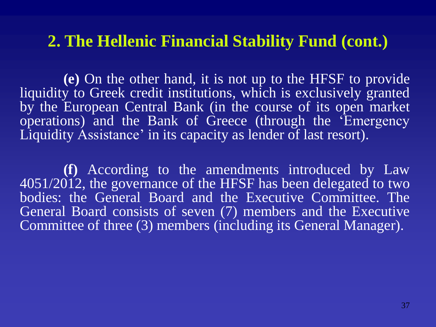**(e)** On the other hand, it is not up to the HFSF to provide liquidity to Greek credit institutions, which is exclusively granted by the European Central Bank (in the course of its open market operations) and the Bank of Greece (through the 'Emergency Liquidity Assistance' in its capacity as lender of last resort).

**(f)** According to the amendments introduced by Law 4051/2012, the governance of the HFSF has been delegated to two bodies: the General Board and the Executive Committee. The General Board consists of seven (7) members and the Executive Committee of three (3) members (including its General Manager).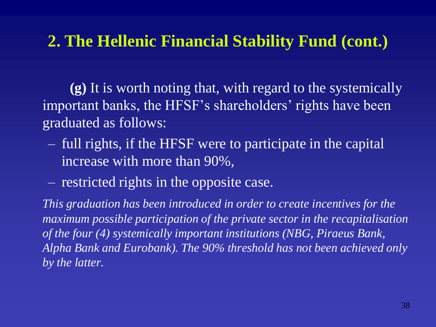**(g)** It is worth noting that, with regard to the systemically important banks, the HFSF's shareholders' rights have been graduated as follows:

- full rights, if the HFSF were to participate in the capital increase with more than 90%,
- restricted rights in the opposite case.

*This graduation has been introduced in order to create incentives for the maximum possible participation of the private sector in the recapitalisation of the four (4) systemically important institutions (NBG, Piraeus Bank, Alpha Bank and Eurobank). The 90% threshold has not been achieved only by the latter.*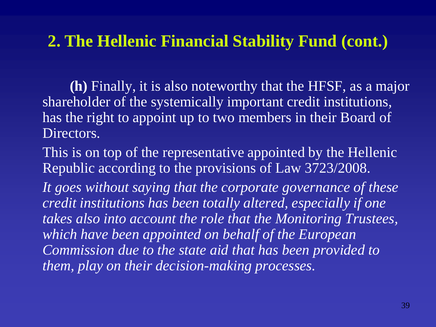**(h)** Finally, it is also noteworthy that the HFSF, as a major shareholder of the systemically important credit institutions, has the right to appoint up to two members in their Board of Directors.

This is on top of the representative appointed by the Hellenic Republic according to the provisions of Law 3723/2008.

It goes without saying that the corporate governance of these *credit institutions has been totally altered, especially if one takes also into account the role that the Monitoring Trustees, which have been appointed on behalf of the European Commission due to the state aid that has been provided to them, play on their decision-making processes.*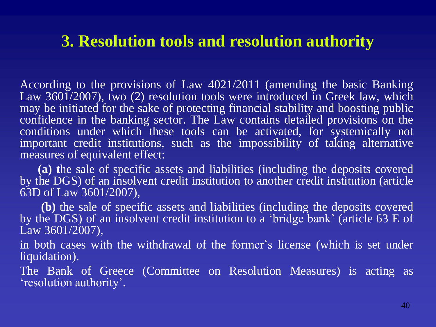### **3. Resolution tools and resolution authority**

According to the provisions of Law 4021/2011 (amending the basic Banking Law 3601/2007), two (2) resolution tools were introduced in Greek law, which may be initiated for the sake of protecting financial stability and boosting public confidence in the banking sector. The Law contains detailed provisions on the conditions under which these tools can be activated, for systemically not important credit institutions, such as the impossibility of taking alternative measures of equivalent effect:

 **(a) t**he sale of specific assets and liabilities (including the deposits covered by the DGS) of an insolvent credit institution to another credit institution (article 63D of Law 3601/2007),

 **(b)** the sale of specific assets and liabilities (including the deposits covered by the DGS) of an insolvent credit institution to a 'bridge bank' (article 63 E of Law 3601/2007),

in both cases with the withdrawal of the former's license (which is set under liquidation).

The Bank of Greece (Committee on Resolution Measures) is acting as 'resolution authority'.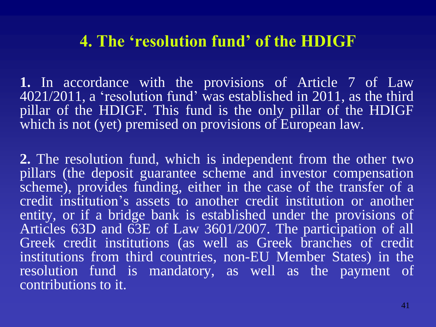### **4. The 'resolution fund' of the HDIGF**

**1.** In accordance with the provisions of Article 7 of Law 4021/2011, a 'resolution fund' was established in 2011, as the third pillar of the HDIGF. This fund is the only pillar of the HDIGF which is not (yet) premised on provisions of European law.

**2.** The resolution fund, which is independent from the other two pillars (the deposit guarantee scheme and investor compensation scheme), provides funding, either in the case of the transfer of a credit institution's assets to another credit institution or another entity, or if a bridge bank is established under the provisions of Articles 63D and 63E of Law 3601/2007. The participation of all Greek credit institutions (as well as Greek branches of credit institutions from third countries, non-EU Member States) in the resolution fund is mandatory, as well as the payment of contributions to it.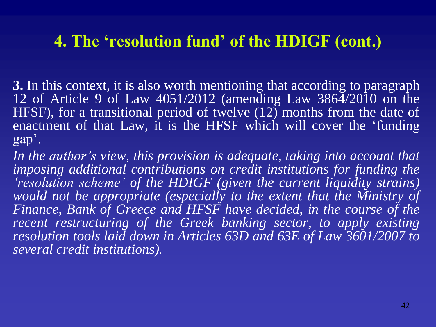# **4. The 'resolution fund' of the HDIGF (cont.)**

**3.** In this context, it is also worth mentioning that according to paragraph 12 of Article 9 of Law 4051/2012 (amending Law 3864/2010 on the HFSF), for a transitional period of twelve (12) months from the date of enactment of that Law, it is the HFSF which will cover the 'funding gap'.

*In the author's view, this provision is adequate, taking into account that imposing additional contributions on credit institutions for funding the 'resolution scheme' of the HDIGF (given the current liquidity strains) would not be appropriate (especially to the extent that the Ministry of Finance, Bank of Greece and HFSF have decided, in the course of the recent restructuring of the Greek banking sector, to apply existing resolution tools laid down in Articles 63D and 63E of Law 3601/2007 to several credit institutions).*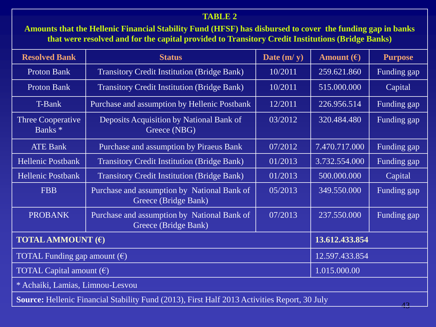#### **TABLE 2**

**Amounts that the Hellenic Financial Stability Fund (HFSF) has disbursed to cover the funding gap in banks that were resolved and for the capital provided to Transitory Credit Institutions (Bridge Banks)**

| <b>Resolved Bank</b>                                                                                       | <b>Status</b>                                                                  | Date $(m/y)$ | Amount $(\epsilon)$ | <b>Purpose</b> |  |
|------------------------------------------------------------------------------------------------------------|--------------------------------------------------------------------------------|--------------|---------------------|----------------|--|
| <b>Proton Bank</b>                                                                                         | <b>Transitory Credit Institution (Bridge Bank)</b>                             | 10/2011      | 259.621.860         | Funding gap    |  |
| <b>Proton Bank</b>                                                                                         | <b>Transitory Credit Institution (Bridge Bank)</b>                             | 10/2011      | 515.000.000         | Capital        |  |
| T-Bank                                                                                                     | Purchase and assumption by Hellenic Postbank                                   | 226.956.514  | Funding gap         |                |  |
| Three Cooperative<br>Banks <sup>*</sup>                                                                    | Deposits Acquisition by National Bank of<br>Greece (NBG)                       | 03/2012      | 320.484.480         | Funding gap    |  |
| <b>ATE Bank</b>                                                                                            | Purchase and assumption by Piraeus Bank                                        | 07/2012      | 7.470.717.000       | Funding gap    |  |
| <b>Hellenic Postbank</b>                                                                                   | <b>Transitory Credit Institution (Bridge Bank)</b>                             | 01/2013      | 3.732.554.000       | Funding gap    |  |
| <b>Hellenic Postbank</b>                                                                                   | <b>Transitory Credit Institution (Bridge Bank)</b>                             | 01/2013      | 500.000.000         | Capital        |  |
| <b>FBB</b>                                                                                                 | Purchase and assumption by National Bank of<br>Greece (Bridge Bank)            | 05/2013      | 349.550.000         | Funding gap    |  |
| <b>PROBANK</b>                                                                                             | Purchase and assumption by National Bank of<br>07/2013<br>Greece (Bridge Bank) |              | 237.550.000         | Funding gap    |  |
| <b>TOTAL AMMOUNT</b> $(\epsilon)$                                                                          |                                                                                |              | 13.612.433.854      |                |  |
| TOTAL Funding gap amount $(\epsilon)$                                                                      | 12.597.433.854                                                                 |              |                     |                |  |
| TOTAL Capital amount $(\epsilon)$                                                                          |                                                                                |              | 1.015.000.00        |                |  |
| * Achaiki, Lamias, Limnou-Lesvou                                                                           |                                                                                |              |                     |                |  |
| Source: Hellenic Financial Stability Fund (2013), First Half 2013 Activities Report, 30 July<br>$\sqrt{2}$ |                                                                                |              |                     |                |  |

43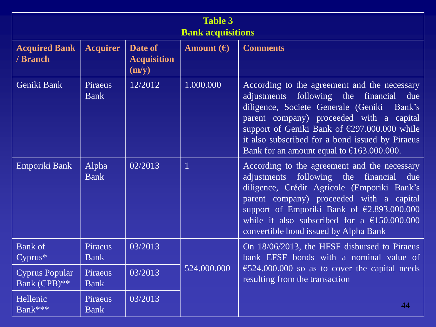| <b>Table 3</b><br><b>Bank acquisitions</b> |                               |                                        |                     |                                                                                                                                                                                                                                                                                                                                                      |  |
|--------------------------------------------|-------------------------------|----------------------------------------|---------------------|------------------------------------------------------------------------------------------------------------------------------------------------------------------------------------------------------------------------------------------------------------------------------------------------------------------------------------------------------|--|
| <b>Acquired Bank</b><br>/ Branch           | <b>Acquirer</b>               | Date of<br><b>Acquisition</b><br>(m/y) | Amount $(\epsilon)$ | <b>Comments</b>                                                                                                                                                                                                                                                                                                                                      |  |
| Geniki Bank                                | <b>Piraeus</b><br><b>Bank</b> | 12/2012                                | 1.000.000           | According to the agreement and the necessary<br>following the financial<br>adjustments<br>due<br>diligence, Societe Generale (Geniki<br>Bank's<br>parent company) proceeded with a capital<br>support of Geniki Bank of €297.000.000 while<br>it also subscribed for a bond issued by Piraeus<br>Bank for an amount equal to $\epsilon$ 163.000.000. |  |
| Emporiki Bank                              | Alpha<br><b>Bank</b>          | 02/2013                                | $\mathbf{1}$        | According to the agreement and the necessary<br>adjustments following the financial<br>due<br>diligence, Crédit Agricole (Emporiki Bank's<br>parent company) proceeded with a capital<br>support of Emporiki Bank of €2.893.000.000<br>while it also subscribed for a $£150,000,000$<br>convertible bond issued by Alpha Bank                        |  |
| <b>Bank of</b><br>$Cyprus*$                | Piraeus<br><b>Bank</b>        | 03/2013                                |                     | On 18/06/2013, the HFSF disbursed to Piraeus<br>bank EFSF bonds with a nominal value of                                                                                                                                                                                                                                                              |  |
| <b>Cyprus Popular</b><br>Bank (CPB)**      | Piraeus<br><b>Bank</b>        | 03/2013                                | 524.000.000         | $\text{\textsterling}524.000.000$ so as to cover the capital needs<br>resulting from the transaction                                                                                                                                                                                                                                                 |  |
| Hellenic<br>Bank***                        | Piraeus<br><b>Bank</b>        | 03/2013                                |                     | 44                                                                                                                                                                                                                                                                                                                                                   |  |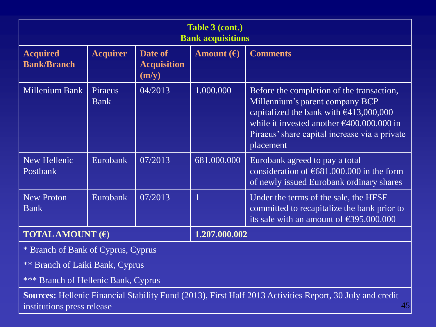| Table 3 (cont.)<br><b>Bank acquisitions</b>                                                                                                         |                               |                                        |                     |                                                                                                                                                                                                                                               |  |
|-----------------------------------------------------------------------------------------------------------------------------------------------------|-------------------------------|----------------------------------------|---------------------|-----------------------------------------------------------------------------------------------------------------------------------------------------------------------------------------------------------------------------------------------|--|
| <b>Acquired</b><br><b>Bank/Branch</b>                                                                                                               | <b>Acquirer</b>               | Date of<br><b>Acquisition</b><br>(m/y) | Amount $(\epsilon)$ | <b>Comments</b>                                                                                                                                                                                                                               |  |
| Millenium Bank                                                                                                                                      | <b>Piraeus</b><br><b>Bank</b> | 04/2013                                | 1.000.000           | Before the completion of the transaction,<br>Millennium's parent company BCP<br>capitalized the bank with $€413,000,000$<br>while it invested another $\epsilon$ 400.000.000 in<br>Piraeus' share capital increase via a private<br>placement |  |
| New Hellenic<br>Postbank                                                                                                                            | Eurobank                      | 07/2013                                | 681.000.000         | Eurobank agreed to pay a total<br>consideration of $\text{\textsterling}681.000.000$ in the form<br>of newly issued Eurobank ordinary shares                                                                                                  |  |
| <b>New Proton</b><br><b>Bank</b>                                                                                                                    | Eurobank                      | 07/2013                                | $\mathbf{1}$        | Under the terms of the sale, the HFSF<br>committed to recapitalize the bank prior to<br>its sale with an amount of $\text{\textsterling}395.000.000$                                                                                          |  |
| <b>TOTAL AMOUNT</b> $(\epsilon)$                                                                                                                    |                               |                                        | 1.207.000.002       |                                                                                                                                                                                                                                               |  |
| * Branch of Bank of Cyprus, Cyprus                                                                                                                  |                               |                                        |                     |                                                                                                                                                                                                                                               |  |
| <b>** Branch of Laiki Bank, Cyprus</b>                                                                                                              |                               |                                        |                     |                                                                                                                                                                                                                                               |  |
| *** Branch of Hellenic Bank, Cyprus                                                                                                                 |                               |                                        |                     |                                                                                                                                                                                                                                               |  |
| <b>Sources:</b> Hellenic Financial Stability Fund (2013), First Half 2013 Activities Report, 30 July and credit<br>45<br>institutions press release |                               |                                        |                     |                                                                                                                                                                                                                                               |  |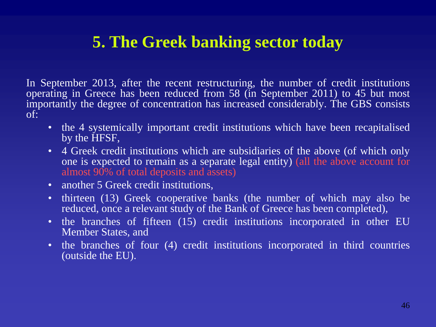# **5. The Greek banking sector today**

In September 2013, after the recent restructuring, the number of credit institutions operating in Greece has been reduced from 58 (in September 2011) to 45 but most importantly the degree of concentration has increased considerably. The GBS consists of:

- the 4 systemically important credit institutions which have been recapitalised by the HFSF,
- 4 Greek credit institutions which are subsidiaries of the above (of which only one is expected to remain as a separate legal entity) (all the above account for almost 90% of total deposits and assets)
- another 5 Greek credit institutions.
- thirteen (13) Greek cooperative banks (the number of which may also be reduced, once a relevant study of the Bank of Greece has been completed),
- the branches of fifteen (15) credit institutions incorporated in other EU Member States, and
- the branches of four (4) credit institutions incorporated in third countries (outside the EU).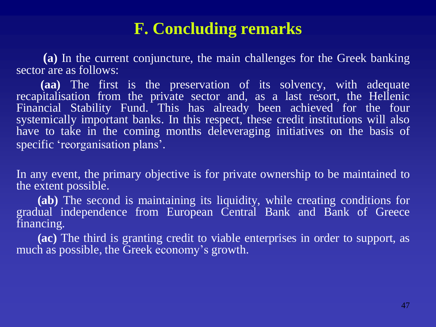# **F. Concluding remarks**

 **(a)** In the current conjuncture, the main challenges for the Greek banking sector are as follows:

 **(aa)** The first is the preservation of its solvency, with adequate recapitalisation from the private sector and, as a last resort, the Hellenic Financial Stability Fund. This has already been achieved for the four systemically important banks. In this respect, these credit institutions will also have to take in the coming months deleveraging initiatives on the basis of specific 'reorganisation plans'.

In any event, the primary objective is for private ownership to be maintained to the extent possible.

 **(ab)** The second is maintaining its liquidity, while creating conditions for gradual independence from European Central Bank and Bank of Greece financing.

 **(ac)** The third is granting credit to viable enterprises in order to support, as much as possible, the Greek economy's growth.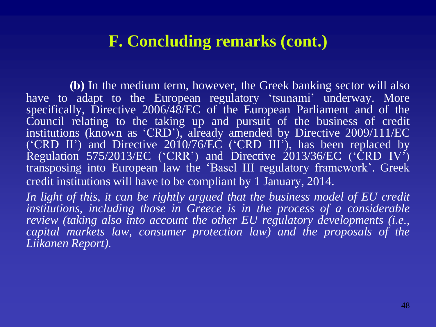### **F. Concluding remarks (cont.)**

**(b)** In the medium term, however, the Greek banking sector will also have to adapt to the European regulatory 'tsunami' underway. More specifically, Directive 2006/48/EC of the European Parliament and of the Council relating to the taking up and pursuit of the business of credit institutions (known as 'CRD'), already amended by Directive 2009/111/EC  $($ <sup>'</sup>CRD II<sup>'</sup>) and Directive 2010/76/EC (<sup>'</sup>CRD III'), has been replaced by Regulation 575/2013/EC ('CRR') and Directive 2013/36/EC ('CRD IV') transposing into European law the 'Basel III regulatory framework'. Greek credit institutions will have to be compliant by 1 January, 2014.

*In light of this, it can be rightly argued that the business model of EU credit institutions, including those in Greece is in the process of a considerable review (taking also into account the other EU regulatory developments (i.e., capital markets law, consumer protection law) and the proposals of the Liikanen Report).*